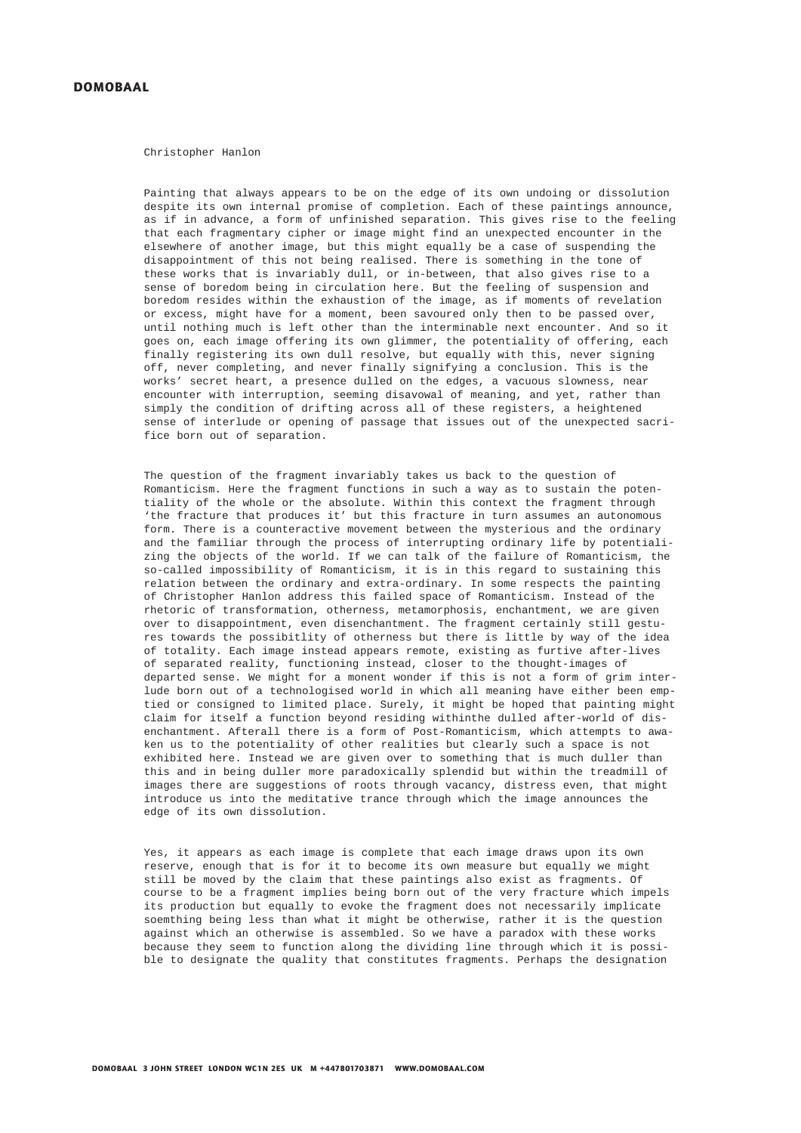## **DOMOBAAL**

Christopher Hanlon

Painting that always appears to be on the edge of its own undoing or dissolution despite its own internal promise of completion. Each of these paintings announce, as if in advance, a form of unfinished separation. This gives rise to the feeling that each fragmentary cipher or image might find an unexpected encounter in the elsewhere of another image, but this might equally be a case of suspending the disappointment of this not being realised. There is something in the tone of these works that is invariably dull, or in-between, that also gives rise to a sense of boredom being in circulation here. But the feeling of suspension and boredom resides within the exhaustion of the image, as if moments of revelation or excess, might have for a moment, been savoured only then to be passed over, until nothing much is left other than the interminable next encounter. And so it goes on, each image offering its own glimmer, the potentiality of offering, each finally registering its own dull resolve, but equally with this, never signing off, never completing, and never finally signifying a conclusion. This is the works' secret heart, a presence dulled on the edges, a vacuous slowness, near encounter with interruption, seeming disavowal of meaning, and yet, rather than simply the condition of drifting across all of these registers, a heightened sense of interlude or opening of passage that issues out of the unexpected sacrifice born out of separation.

The question of the fragment invariably takes us back to the question of Romanticism. Here the fragment functions in such a way as to sustain the potentiality of the whole or the absolute. Within this context the fragment through 'the fracture that produces it' but this fracture in turn assumes an autonomous form. There is a counteractive movement between the mysterious and the ordinary and the familiar through the process of interrupting ordinary life by potentializing the objects of the world. If we can talk of the failure of Romanticism, the so-called impossibility of Romanticism, it is in this regard to sustaining this relation between the ordinary and extra-ordinary. In some respects the painting of Christopher Hanlon address this failed space of Romanticism. Instead of the rhetoric of transformation, otherness, metamorphosis, enchantment, we are given over to disappointment, even disenchantment. The fragment certainly still gestures towards the possibitlity of otherness but there is little by way of the idea of totality. Each image instead appears remote, existing as furtive after-lives of separated reality, functioning instead, closer to the thought-images of departed sense. We might for a monent wonder if this is not a form of grim interlude born out of a technologised world in which all meaning have either been emptied or consigned to limited place. Surely, it might be hoped that painting might claim for itself a function beyond residing withinthe dulled after-world of disenchantment. Afterall there is a form of Post-Romanticism, which attempts to awaken us to the potentiality of other realities but clearly such a space is not exhibited here. Instead we are given over to something that is much duller than this and in being duller more paradoxically splendid but within the treadmill of images there are suggestions of roots through vacancy, distress even, that might introduce us into the meditative trance through which the image announces the edge of its own dissolution.

Yes, it appears as each image is complete that each image draws upon its own reserve, enough that is for it to become its own measure but equally we might still be moved by the claim that these paintings also exist as fragments. Of course to be a fragment implies being born out of the very fracture which impels its production but equally to evoke the fragment does not necessarily implicate soemthing being less than what it might be otherwise, rather it is the question against which an otherwise is assembled. So we have a paradox with these works because they seem to function along the dividing line through which it is possible to designate the quality that constitutes fragments. Perhaps the designation